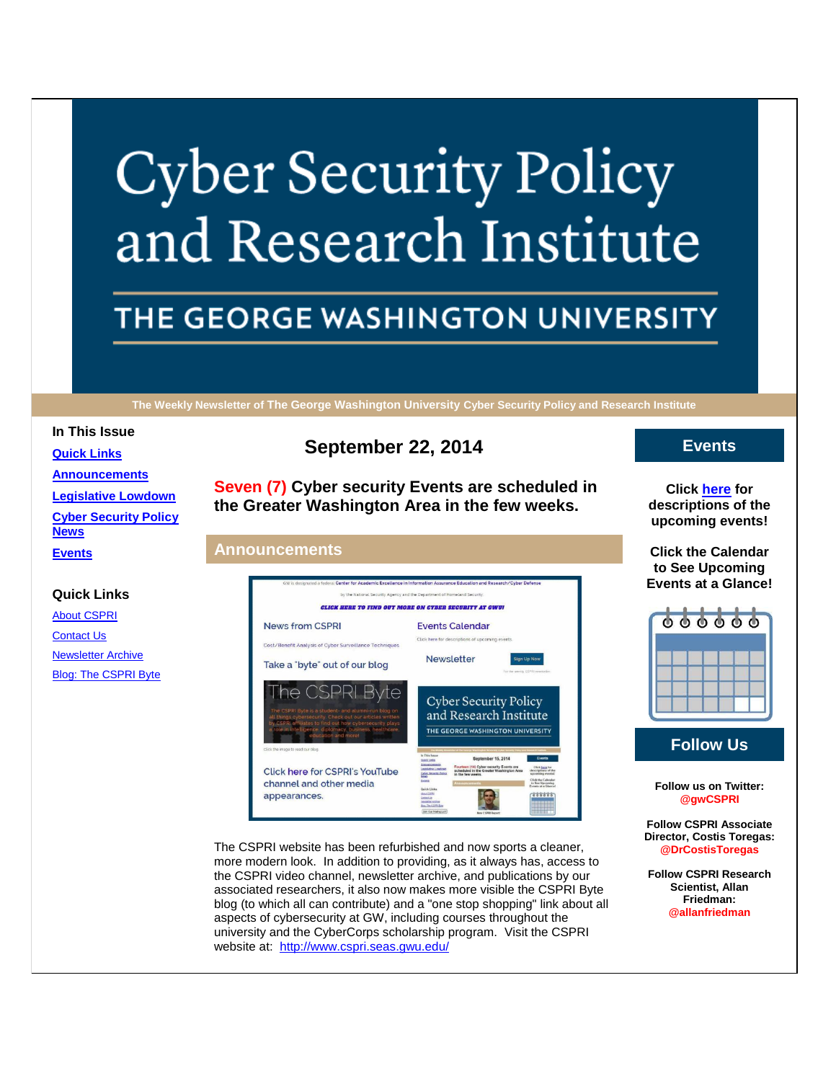# **Cyber Security Policy** and Research Institute

# THE GEORGE WASHINGTON UNIVERSITY

**The Weekly Newsletter of The George Washington University Cyber Security Policy and Research Institute**

#### **In This Issue**

**[Quick Links](https://mail.google.com/mail/u/0/#1489e7ef51de983e_LETTER.BLOCK5) [Announcements](https://mail.google.com/mail/u/0/#1489e7ef51de983e_LETTER.BLOCK18) [Legislative Lowdown](https://mail.google.com/mail/u/0/#1489e7ef51de983e_LETTER.BLOCK23) [Cyber Security Policy](https://mail.google.com/mail/u/0/#1489e7ef51de983e_LETTER.BLOCK26)  [News](https://mail.google.com/mail/u/0/#1489e7ef51de983e_LETTER.BLOCK26)**

### **Quick Links**

**[Events](https://mail.google.com/mail/u/0/#1489e7ef51de983e_LETTER.BLOCK30)**

[About CSPRI](http://r20.rs6.net/tn.jsp?e=001nNyAEWIzA6i7NUX6ZJ0u5MjUFq7adFB2GaNQUdoyL6CAMfrh38M_IpHdlb82B66WVhgWawsPen-S_iDtL4R4-PEPY5mnMBydouoyeJbakJwSIP1FpiPJ1Lv5LPOcaCR2) **[Contact Us](http://r20.rs6.net/tn.jsp?e=001nNyAEWIzA6i7NUX6ZJ0u5MjUFq7adFB2GaNQUdoyL6CAMfrh38M_IpHdlb82B66WVhgWawsPen-S_iDtL4R4-PEPY5mnMBydouoyeJbakJwYvCIT7R1_7TKMrg6A4Iu-H6nKXPorca8=)** [Newsletter Archive](http://r20.rs6.net/tn.jsp?e=001nNyAEWIzA6i7NUX6ZJ0u5MjUFq7adFB2GaNQUdoyL6CAMfrh38M_IpHdlb82B66WVhgWawsPen-S_iDtL4R4-PEPY5mnMBydouoyeJbakJzreyRFA7K5BPSoWP9-YvSDaNtHCuGFQjE=) [Blog: The CSPRI Byte](http://r20.rs6.net/tn.jsp?e=001nNyAEWIzA6i7NUX6ZJ0u5MjUFq7adFB2GaNQUdoyL6CAMfrh38M_IpHdlb82B66WVhgWawsPen-S_iDtL4R4-PEPY5mnMBydouoyeJbakJzo0KdBCZnuDZRlklxAgKUi)

# **September 22, 2014**

**Seven (7) Cyber security Events are scheduled in the Greater Washington Area in the few weeks.**

# **Announcements**



The CSPRI website has been refurbished and now sports a cleaner, more modern look. In addition to providing, as it always has, access to the CSPRI video channel, newsletter archive, and publications by our associated researchers, it also now makes more visible the CSPRI Byte blog (to which all can contribute) and a "one stop shopping" link about all aspects of cybersecurity at GW, including courses throughout the university and the CyberCorps scholarship program. Visit the CSPRI website at: [http://www.cspri.seas.gwu.edu/](http://r20.rs6.net/tn.jsp?e=001nNyAEWIzA6i7NUX6ZJ0u5MjUFq7adFB2GaNQUdoyL6CAMfrh38M_IpHdlb82B66WVhgWawsPen-S_iDtL4R4-PEPY5mnMBydouoyeJbakJwgXGHp31p5yg==)

# **Events**

**Click [here](http://r20.rs6.net/tn.jsp?e=001nNyAEWIzA6i7NUX6ZJ0u5MjUFq7adFB2GaNQUdoyL6CAMfrh38M_IpHdlb82B66WVhgWawsPen-S_iDtL4R4-PEPY5mnMBydouoyeJbakJw4a_G3GTinp9V9PixNsLFMkPq8w7XvSldDLMRhtkA7Lg==) for descriptions of the upcoming events!**

**Click the Calendar to See Upcoming Events at a Glance!**



**Follow Us**

**Follow us on Twitter: @gwCSPRI**

**Follow CSPRI Associate Director, Costis Toregas: @DrCostisToregas**

**Follow CSPRI Research Scientist, Allan Friedman: @allanfriedman**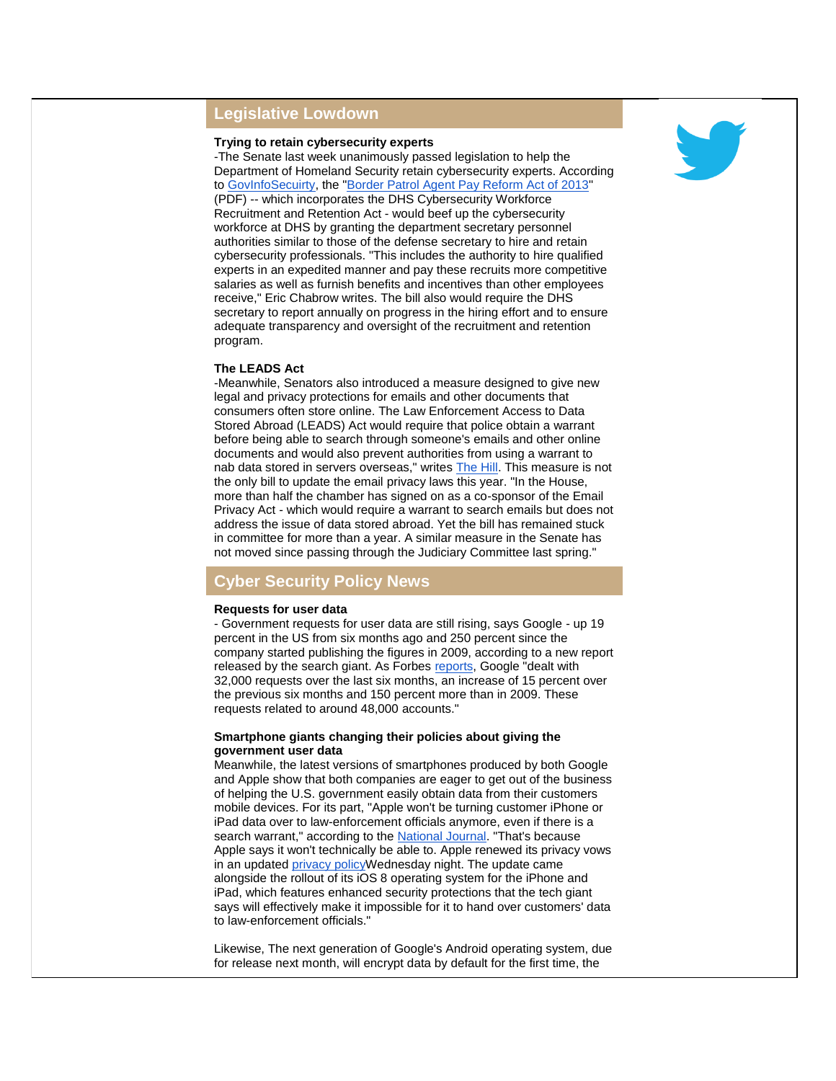# **Legislative Lowdown**

## **Trying to retain cybersecurity experts**

-The Senate last week unanimously passed legislation to help the Department of Homeland Security retain cybersecurity experts. According to [GovInfoSecuirty,](http://r20.rs6.net/tn.jsp?e=001nNyAEWIzA6i7NUX6ZJ0u5MjUFq7adFB2GaNQUdoyL6CAMfrh38M_IpHdlb82B66WVhgWawsPen9QoGLaMNR03A_MJkwHP9Gaknhxci6pRujJKa-PGpo7x7Rt1jEbS_tefr__amtk6gKCjNrPkUxE7fw2WEni5huakrP5BrjZ9g3QS_RAdxLML4qAhCFwdAIR) the ["Border Patrol Agent Pay Reform Act of 2013"](http://r20.rs6.net/tn.jsp?e=001nNyAEWIzA6i7NUX6ZJ0u5MjUFq7adFB2GaNQUdoyL6CAMfrh38M_IpHdlb82B66WVhgWawsPen-U4ZRA7Svcty56rBTXsZbYb9RGy6xUJh1kaJyXPHLtsCHArueA7PsIbW7oYyKJ_VcmPqPaFeKr_FoKDnIKp2rNrI6IWDh0UUlTvmNPIe-fMw==) (PDF) -- which incorporates the DHS Cybersecurity Workforce Recruitment and Retention Act - would beef up the cybersecurity workforce at DHS by granting the department secretary personnel authorities similar to those of the defense secretary to hire and retain cybersecurity professionals. "This includes the authority to hire qualified experts in an expedited manner and pay these recruits more competitive salaries as well as furnish benefits and incentives than other employees receive," Eric Chabrow writes. The bill also would require the DHS secretary to report annually on progress in the hiring effort and to ensure adequate transparency and oversight of the recruitment and retention program.

#### **The LEADS Act**

-Meanwhile, Senators also introduced a measure designed to give new legal and privacy protections for emails and other documents that consumers often store online. The Law Enforcement Access to Data Stored Abroad (LEADS) Act would require that police obtain a warrant before being able to search through someone's emails and other online documents and would also prevent authorities from using a warrant to nab data stored in servers overseas," writes [The Hill.](http://r20.rs6.net/tn.jsp?e=001nNyAEWIzA6i7NUX6ZJ0u5MjUFq7adFB2GaNQUdoyL6CAMfrh38M_IpHdlb82B66WVhgWawsPen8mcpgQnj45QfckIAPOCUAKqNChw5FWyzSbhlomllBjVGXqAKBTuhH9_qb0ia5FvMfeAq0jlbONZn9SGdhn1QBBZta4dMp7MFqTTA0MU5SlBCubMA0EaVRJ) This measure is not the only bill to update the email privacy laws this year. "In the House, more than half the chamber has signed on as a co-sponsor of the Email Privacy Act - which would require a warrant to search emails but does not address the issue of data stored abroad. Yet the bill has remained stuck in committee for more than a year. A similar measure in the Senate has not moved since passing through the Judiciary Committee last spring."

# **Cyber Security Policy News**

#### **Requests for user data**

- Government requests for user data are still rising, says Google - up 19 percent in the US from six months ago and 250 percent since the company started publishing the figures in 2009, according to a new report released by the search giant. As Forbes [reports,](http://r20.rs6.net/tn.jsp?e=001nNyAEWIzA6i7NUX6ZJ0u5MjUFq7adFB2GaNQUdoyL6CAMfrh38M_IpHdlb82B66WVhgWawsPen_MeXU6OIVymnxeQbzJGIJ6iknsT3TFWNSSss0ws8BZgpSnQriGT0WG9AnCnCHvxnmktUBoCI-8e7H6f6kv1oB5SRM4o85BD7g6QOvEMk0wbu10p5nKviHcSeb3_Y1AKbBjZ3ybFqOAxvGtOGF9B2Vm0fpwwul4AJxnJp9lA6PvKsdhtLDYTA-F) Google "dealt with 32,000 requests over the last six months, an increase of 15 percent over the previous six months and 150 percent more than in 2009. These requests related to around 48,000 accounts."

#### **Smartphone giants changing their policies about giving the government user data**

Meanwhile, the latest versions of smartphones produced by both Google and Apple show that both companies are eager to get out of the business of helping the U.S. government easily obtain data from their customers mobile devices. For its part, "Apple won't be turning customer iPhone or iPad data over to law-enforcement officials anymore, even if there is a search warrant," according to the [National Journal.](http://r20.rs6.net/tn.jsp?e=001nNyAEWIzA6i7NUX6ZJ0u5MjUFq7adFB2GaNQUdoyL6CAMfrh38M_IpHdlb82B66WVhgWawsPen_-111GQfu3GOZvAzO7LaAilSenvw0COQhMMaQLFxwsAGoBbDsAZYWtZ3B5fqjtZoG4g7iN1SHLqcv9QNPKF68CyK5lYDEt-lmooYyck7CilFZJjruR7eDR) "That's because Apple says it won't technically be able to. Apple renewed its privacy vows in an updated privacy policy Wednesday night. The update came alongside the rollout of its iOS 8 operating system for the iPhone and iPad, which features enhanced security protections that the tech giant says will effectively make it impossible for it to hand over customers' data to law-enforcement officials."

Likewise, The next generation of Google's Android operating system, due for release next month, will encrypt data by default for the first time, the